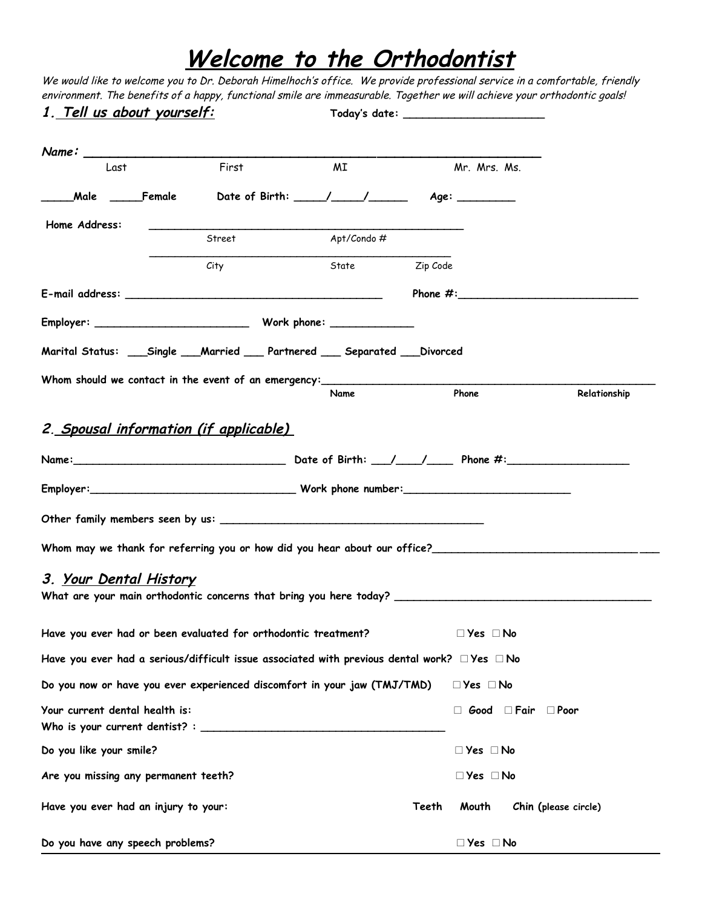## **Welcome to the Orthodontist**

We would like to welcome you to Dr. Deborah Himelhoch's office. We provide professional service in a comfortable, friendly environment. The benefits of a happy, functional smile are immeasurable. Together we will achieve your orthodontic goals!

| <u>1. Tell us about yourself:</u>                                                                            |        |                |       |                      |                                     |                      |
|--------------------------------------------------------------------------------------------------------------|--------|----------------|-------|----------------------|-------------------------------------|----------------------|
|                                                                                                              |        |                |       |                      |                                     |                      |
| Last                                                                                                         | First  | <b>MI</b>      |       | Mr. Mrs. Ms.         |                                     |                      |
|                                                                                                              |        |                |       |                      |                                     |                      |
| Home Address:                                                                                                |        |                |       |                      |                                     |                      |
|                                                                                                              | Street | Apt/Condo#     |       |                      |                                     |                      |
|                                                                                                              | City   | State Zip Code |       |                      |                                     |                      |
|                                                                                                              |        |                |       |                      |                                     | Phone $\#$ :         |
|                                                                                                              |        |                |       |                      |                                     |                      |
| Marital Status: ___Single ___Married ___ Partnered ___ Separated ___Divorced                                 |        |                |       |                      |                                     |                      |
|                                                                                                              |        |                |       |                      |                                     |                      |
|                                                                                                              |        | Name           |       | Phone                |                                     | Relationship         |
| 3. <u>Your Dental History</u>                                                                                |        |                |       |                      |                                     |                      |
| Have you ever had or been evaluated for orthodontic treatment?                                               |        |                |       | $\Box$ Yes $\Box$ No |                                     |                      |
| Have you ever had a serious/difficult issue associated with previous dental work? $\square$ Yes $\square$ No |        |                |       |                      |                                     |                      |
| Do you now or have you ever experienced discomfort in your jaw (TMJ/TMD)                                     |        |                |       | $\Box$ Yes $\Box$ No |                                     |                      |
| Your current dental health is:                                                                               |        |                |       |                      | $\Box$ Good $\Box$ Fair $\Box$ Poor |                      |
| Do you like your smile?                                                                                      |        |                |       | $\Box$ Yes $\Box$ No |                                     |                      |
| Are you missing any permanent teeth?                                                                         |        |                |       | $\Box$ Yes $\Box$ No |                                     |                      |
| Have you ever had an injury to your:                                                                         |        |                | Teeth | Mouth                |                                     | Chin (please circle) |
| Do you have any speech problems?                                                                             |        |                |       | $\Box$ Yes $\Box$ No |                                     |                      |